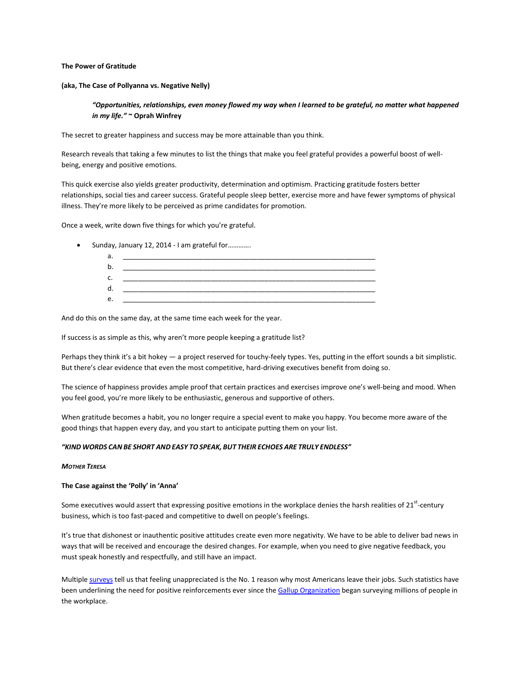# The Power of Gratitude

### (aka, The Case of Pollyanna vs. Negative Nelly)

# "Opportunities, relationships, even money flowed my way when I learned to be grateful, no matter what happened in my life." ~ Oprah Winfrey

The secret to greater happiness and success may be more attainable than you think.

Research reveals that taking a few minutes to list the things that make you feel grateful provides a powerful boost of wellbeing, energy and positive emotions.

This quick exercise also yields greater productivity, determination and optimism. Practicing gratitude fosters better relationships, social ties and career success. Grateful people sleep better, exercise more and have fewer symptoms of physical illness. They're more likely to be perceived as prime candidates for promotion.

Once a week, write down five things for which you're grateful.

• Sunday, January 12, 2014 - I am grateful for.............

| ∽<br>a |  |
|--------|--|
|        |  |
| J.     |  |
|        |  |
| . .    |  |

And do this on the same day, at the same time each week for the year.

If success is as simple as this, why aren't more people keeping a gratitude list?

Perhaps they think it's a bit hokey - a project reserved for touchy-feely types. Yes, putting in the effort sounds a bit simplistic. But there's clear evidence that even the most competitive, hard-driving executives benefit from doing so.

The science of happiness provides ample proof that certain practices and exercises improve one's well-being and mood. When you feel good, you're more likely to be enthusiastic, generous and supportive of others.

When gratitude becomes a habit, you no longer require a special event to make you happy. You become more aware of the good things that happen every day, and you start to anticipate putting them on your list.

# "KIND WORDS CAN BE SHORT AND EASY TO SPEAK, BUT THEIR ECHOES ARE TRULY ENDLESS"

#### **MOTHER TERESA**

# The Case against the 'Polly' in 'Anna'

Some executives would assert that expressing positive emotions in the workplace denies the harsh realities of 21<sup>st</sup>-century business, which is too fast-paced and competitive to dwell on people's feelings.

It's true that dishonest or inauthentic positive attitudes create even more negativity. We have to be able to deliver bad news in ways that will be received and encourage the desired changes. For example, when you need to give negative feedback, you must speak honestly and respectfully, and still have an impact.

Multiple surveys tell us that feeling unappreciated is the No. 1 reason why most Americans leave their jobs. Such statistics have been underlining the need for positive reinforcements ever since the Gallup Organization began surveying millions of people in the workplace.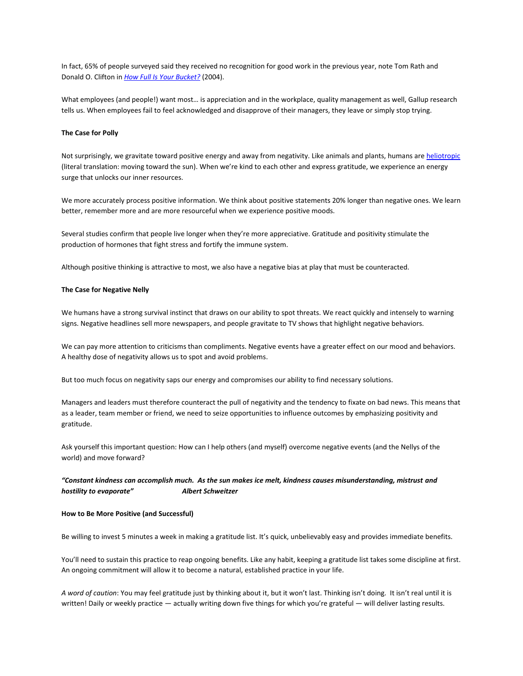In fact, 65% of people surveyed said they received no recognition for good work in the previous year, note Tom Rath and Donald O. Clifton in How Full Is Your Bucket? (2004).

What employees (and people!) want most... is appreciation and in the workplace, quality management as well, Gallup research tells us. When employees fail to feel acknowledged and disapprove of their managers, they leave or simply stop trying.

# The Case for Polly

Not surprisingly, we gravitate toward positive energy and away from negativity. Like animals and plants, humans are heliotropic (literal translation: moving toward the sun). When we're kind to each other and express gratitude, we experience an energy surge that unlocks our inner resources.

We more accurately process positive information. We think about positive statements 20% longer than negative ones. We learn better, remember more and are more resourceful when we experience positive moods.

Several studies confirm that people live longer when they're more appreciative. Gratitude and positivity stimulate the production of hormones that fight stress and fortify the immune system.

Although positive thinking is attractive to most, we also have a negative bias at play that must be counteracted.

### The Case for Negative Nelly

We humans have a strong survival instinct that draws on our ability to spot threats. We react quickly and intensely to warning signs. Negative headlines sell more newspapers, and people gravitate to TV shows that highlight negative behaviors.

We can pay more attention to criticisms than compliments. Negative events have a greater effect on our mood and behaviors. A healthy dose of negativity allows us to spot and avoid problems.

But too much focus on negativity saps our energy and compromises our ability to find necessary solutions.

Managers and leaders must therefore counteract the pull of negativity and the tendency to fixate on bad news. This means that as a leader, team member or friend, we need to seize opportunities to influence outcomes by emphasizing positivity and gratitude.

Ask yourself this important question: How can I help others (and myself) overcome negative events (and the Nellys of the world) and move forward?

#### "Constant kindness can accomplish much. As the sun makes ice melt, kindness causes misunderstanding, mistrust and hostility to evaporate" **Albert Schweitzer**

#### How to Be More Positive (and Successful)

Be willing to invest 5 minutes a week in making a gratitude list. It's quick, unbelievably easy and provides immediate benefits.

You'll need to sustain this practice to reap ongoing benefits. Like any habit, keeping a gratitude list takes some discipline at first. An ongoing commitment will allow it to become a natural, established practice in your life.

A word of caution: You may feel gratitude just by thinking about it, but it won't last. Thinking isn't doing. It isn't real until it is written! Daily or weekly practice - actually writing down five things for which you're grateful - will deliver lasting results.